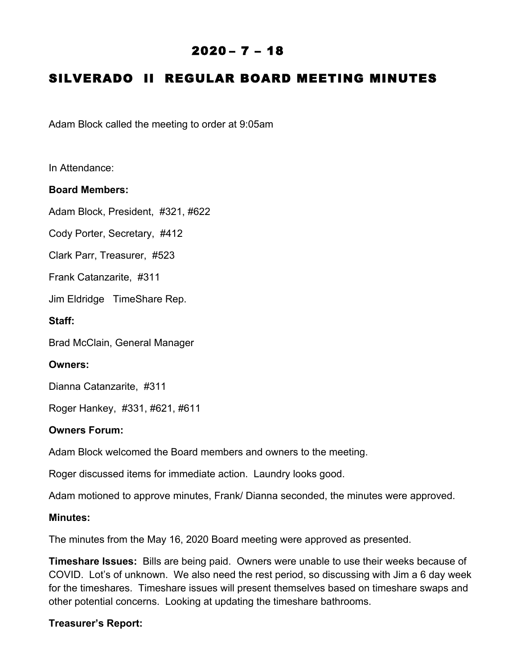# $2020 - 7 - 18$

# SILVERADO II REGULAR BOARD MEETING MINUTES

Adam Block called the meeting to order at 9:05am

In Attendance:

## **Board Members:**

Adam Block, President, #321, #622

Cody Porter, Secretary, #412

Clark Parr, Treasurer, #523

Frank Catanzarite, #311

Jim Eldridge TimeShare Rep.

**Staff:**

Brad McClain, General Manager

### **Owners:**

Dianna Catanzarite, #311

Roger Hankey, #331, #621, #611

#### **Owners Forum:**

Adam Block welcomed the Board members and owners to the meeting.

Roger discussed items for immediate action. Laundry looks good.

Adam motioned to approve minutes, Frank/ Dianna seconded, the minutes were approved.

#### **Minutes:**

The minutes from the May 16, 2020 Board meeting were approved as presented.

**Timeshare Issues:** Bills are being paid. Owners were unable to use their weeks because of COVID. Lot's of unknown. We also need the rest period, so discussing with Jim a 6 day week for the timeshares. Timeshare issues will present themselves based on timeshare swaps and other potential concerns. Looking at updating the timeshare bathrooms.

## **Treasurer's Report:**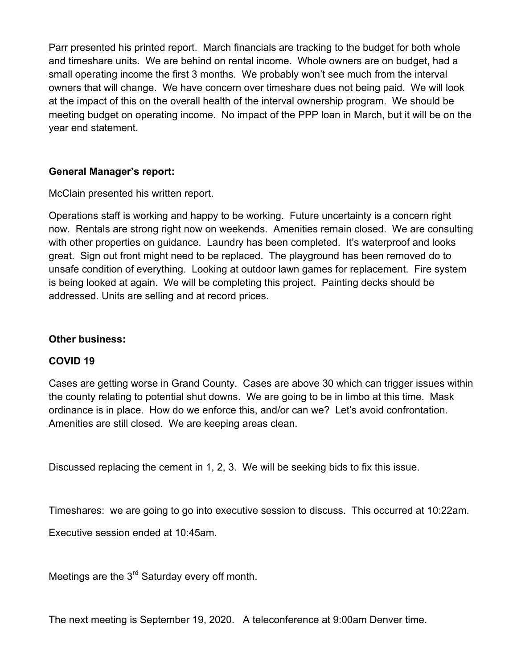Parr presented his printed report. March financials are tracking to the budget for both whole and timeshare units. We are behind on rental income. Whole owners are on budget, had a small operating income the first 3 months. We probably won't see much from the interval owners that will change. We have concern over timeshare dues not being paid. We will look at the impact of this on the overall health of the interval ownership program. We should be meeting budget on operating income. No impact of the PPP loan in March, but it will be on the year end statement.

# **General Manager's report:**

McClain presented his written report.

Operations staff is working and happy to be working. Future uncertainty is a concern right now. Rentals are strong right now on weekends. Amenities remain closed. We are consulting with other properties on guidance. Laundry has been completed. It's waterproof and looks great. Sign out front might need to be replaced. The playground has been removed do to unsafe condition of everything. Looking at outdoor lawn games for replacement. Fire system is being looked at again. We will be completing this project. Painting decks should be addressed. Units are selling and at record prices.

## **Other business:**

## **COVID 19**

Cases are getting worse in Grand County. Cases are above 30 which can trigger issues within the county relating to potential shut downs. We are going to be in limbo at this time. Mask ordinance is in place. How do we enforce this, and/or can we? Let's avoid confrontation. Amenities are still closed. We are keeping areas clean.

Discussed replacing the cement in 1, 2, 3. We will be seeking bids to fix this issue.

Timeshares: we are going to go into executive session to discuss. This occurred at 10:22am.

Executive session ended at 10:45am.

Meetings are the 3<sup>rd</sup> Saturday every off month.

The next meeting is September 19, 2020. A teleconference at 9:00am Denver time.